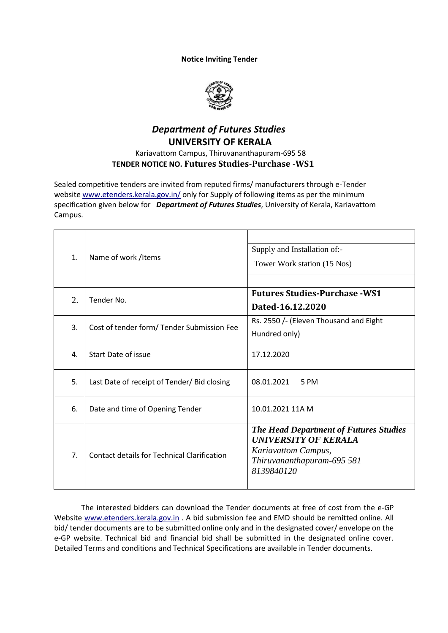## **Notice Inviting Tender**



## *Department of Futures Studies*  **UNIVERSITY OF KERALA**

## Kariavattom Campus, Thiruvananthapuram-695 58  **TENDER NOTICE NO. Futures Studies-Purchase -WS1**

Sealed competitive tenders are invited from reputed firms/ manufacturers through e-Tender websit[e www.etenders.kerala.gov.in/](https://ccs.infospace.com/ClickHandler.ashx?encp=ld%3D20170109%26app%3D1%26c%3DAV772%26s%3DAV%26rc%3DAV772%26dc%3D%26euip%3D14.139.185.66%26pvaid%3D2fff3e2f9055433ab11c696db3d5a687%26dt%3DDesktop%26vid%3D606190505.3343461609909.1482987607.2%26fct.uid%3D0d1bb2749021432fbf9cba1c886d4a98%26en%3DpAiBppRwHTqgtNHR9bC%252fflewzJRnoFdL3QeqYP%252bQUQU%253d%26ru%3Dhttps%253a%252f%252fwww.etenders.kerala.gov.in%252f%26coi%3D239138%26npp%3D1%26p%3D0%26pp%3D0%26mid%3D9%26ep%3D1%26du%3Dhttps%253a%252f%252fwww.etenders.kerala.gov.in%252f%26hash%3D09A17ADABCBDD17B2486F7C7D2776B2C&ap=1&cop=main-title) only for Supply of following items as per the minimum specification given below for *Department of Futures Studies*, University of Kerala, Kariavattom Campus.

| $\mathbf{1}$ . | Name of work /Items                                | Supply and Installation of:-<br>Tower Work station (15 Nos)                                                                                     |
|----------------|----------------------------------------------------|-------------------------------------------------------------------------------------------------------------------------------------------------|
| 2.             | Tender No.                                         | <b>Futures Studies-Purchase - WS1</b><br>Dated-16.12.2020                                                                                       |
| 3.             | Cost of tender form/ Tender Submission Fee         | Rs. 2550 /- (Eleven Thousand and Eight<br>Hundred only)                                                                                         |
| 4.             | Start Date of issue                                | 17.12.2020                                                                                                                                      |
| 5.             | Last Date of receipt of Tender/ Bid closing        | 08.01.2021<br>5 PM                                                                                                                              |
| 6.             | Date and time of Opening Tender                    | 10.01.2021 11A M                                                                                                                                |
| 7.             | <b>Contact details for Technical Clarification</b> | <b>The Head Department of Futures Studies</b><br><b>UNIVERSITY OF KERALA</b><br>Kariavattom Campus,<br>Thiruvananthapuram-695 581<br>8139840120 |

The interested bidders can download the Tender documents at free of cost from the e-GP Website [www.etenders.kerala.gov.in](http://www.etenders.kerala.gov.in/) . A bid submission fee and EMD should be remitted online. All bid/ tender documents are to be submitted online only and in the designated cover/ envelope on the e-GP website. Technical bid and financial bid shall be submitted in the designated online cover. Detailed Terms and conditions and Technical Specifications are available in Tender documents.